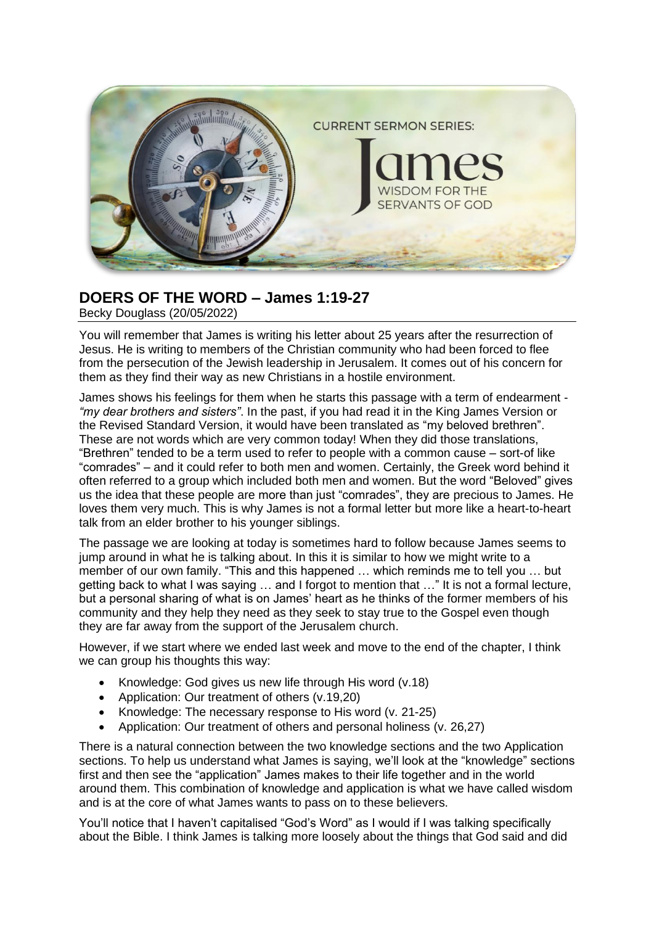

## **DOERS OF THE WORD – James 1:19-27**

Becky Douglass (20/05/2022)

You will remember that James is writing his letter about 25 years after the resurrection of Jesus. He is writing to members of the Christian community who had been forced to flee from the persecution of the Jewish leadership in Jerusalem. It comes out of his concern for them as they find their way as new Christians in a hostile environment.

James shows his feelings for them when he starts this passage with a term of endearment - *"my dear brothers and sisters"*. In the past, if you had read it in the King James Version or the Revised Standard Version, it would have been translated as "my beloved brethren". These are not words which are very common today! When they did those translations, "Brethren" tended to be a term used to refer to people with a common cause – sort-of like "comrades" – and it could refer to both men and women. Certainly, the Greek word behind it often referred to a group which included both men and women. But the word "Beloved" gives us the idea that these people are more than just "comrades", they are precious to James. He loves them very much. This is why James is not a formal letter but more like a heart-to-heart talk from an elder brother to his younger siblings.

The passage we are looking at today is sometimes hard to follow because James seems to jump around in what he is talking about. In this it is similar to how we might write to a member of our own family. "This and this happened … which reminds me to tell you … but getting back to what I was saying … and I forgot to mention that …" It is not a formal lecture, but a personal sharing of what is on James' heart as he thinks of the former members of his community and they help they need as they seek to stay true to the Gospel even though they are far away from the support of the Jerusalem church.

However, if we start where we ended last week and move to the end of the chapter, I think we can group his thoughts this way:

- Knowledge: God gives us new life through His word (v.18)
- Application: Our treatment of others (v.19.20)
- Knowledge: The necessary response to His word (v. 21-25)
- Application: Our treatment of others and personal holiness (v. 26,27)

There is a natural connection between the two knowledge sections and the two Application sections. To help us understand what James is saying, we'll look at the "knowledge" sections first and then see the "application" James makes to their life together and in the world around them. This combination of knowledge and application is what we have called wisdom and is at the core of what James wants to pass on to these believers.

You'll notice that I haven't capitalised "God's Word" as I would if I was talking specifically about the Bible. I think James is talking more loosely about the things that God said and did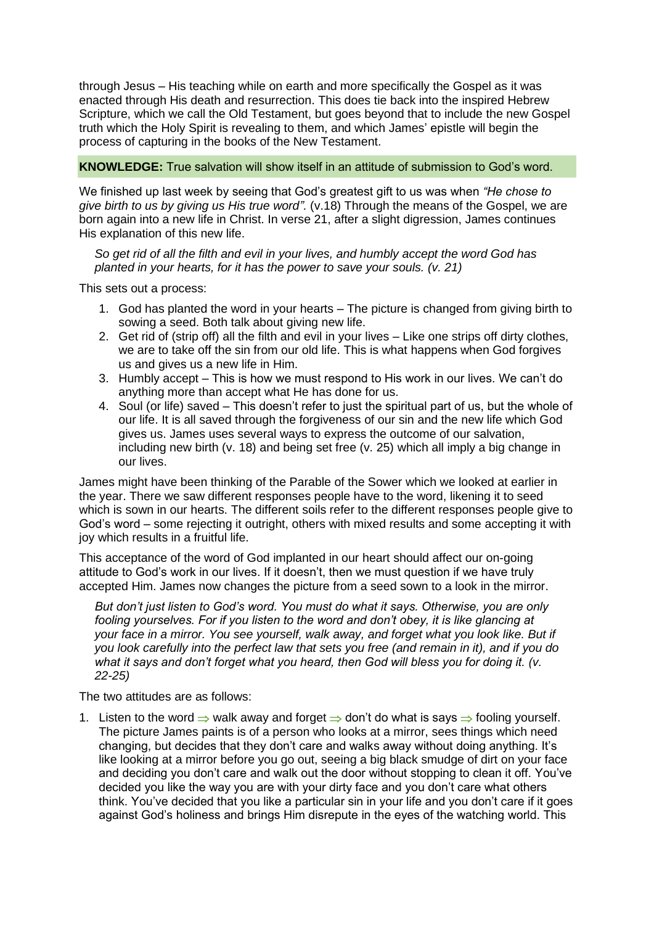through Jesus – His teaching while on earth and more specifically the Gospel as it was enacted through His death and resurrection. This does tie back into the inspired Hebrew Scripture, which we call the Old Testament, but goes beyond that to include the new Gospel truth which the Holy Spirit is revealing to them, and which James' epistle will begin the process of capturing in the books of the New Testament.

## **KNOWLEDGE:** True salvation will show itself in an attitude of submission to God's word.

We finished up last week by seeing that God's greatest gift to us was when *"He chose to give birth to us by giving us His true word".* (v.18) Through the means of the Gospel, we are born again into a new life in Christ. In verse 21, after a slight digression, James continues His explanation of this new life.

*So get rid of all the filth and evil in your lives, and humbly accept the word God has planted in your hearts, for it has the power to save your souls. (v. 21)*

This sets out a process:

- 1. God has planted the word in your hearts The picture is changed from giving birth to sowing a seed. Both talk about giving new life.
- 2. Get rid of (strip off) all the filth and evil in your lives Like one strips off dirty clothes, we are to take off the sin from our old life. This is what happens when God forgives us and gives us a new life in Him.
- 3. Humbly accept This is how we must respond to His work in our lives. We can't do anything more than accept what He has done for us.
- 4. Soul (or life) saved This doesn't refer to just the spiritual part of us, but the whole of our life. It is all saved through the forgiveness of our sin and the new life which God gives us. James uses several ways to express the outcome of our salvation, including new birth (v. 18) and being set free (v. 25) which all imply a big change in our lives.

James might have been thinking of the Parable of the Sower which we looked at earlier in the year. There we saw different responses people have to the word, likening it to seed which is sown in our hearts. The different soils refer to the different responses people give to God's word – some rejecting it outright, others with mixed results and some accepting it with joy which results in a fruitful life.

This acceptance of the word of God implanted in our heart should affect our on-going attitude to God's work in our lives. If it doesn't, then we must question if we have truly accepted Him. James now changes the picture from a seed sown to a look in the mirror.

*But don't just listen to God's word. You must do what it says. Otherwise, you are only fooling yourselves. For if you listen to the word and don't obey, it is like glancing at your face in a mirror. You see yourself, walk away, and forget what you look like. But if you look carefully into the perfect law that sets you free (and remain in it), and if you do what it says and don't forget what you heard, then God will bless you for doing it. (v. 22-25)*

The two attitudes are as follows:

1. Listen to the word  $\Rightarrow$  walk away and forget  $\Rightarrow$  don't do what is says  $\Rightarrow$  fooling yourself. The picture James paints is of a person who looks at a mirror, sees things which need changing, but decides that they don't care and walks away without doing anything. It's like looking at a mirror before you go out, seeing a big black smudge of dirt on your face and deciding you don't care and walk out the door without stopping to clean it off. You've decided you like the way you are with your dirty face and you don't care what others think. You've decided that you like a particular sin in your life and you don't care if it goes against God's holiness and brings Him disrepute in the eyes of the watching world. This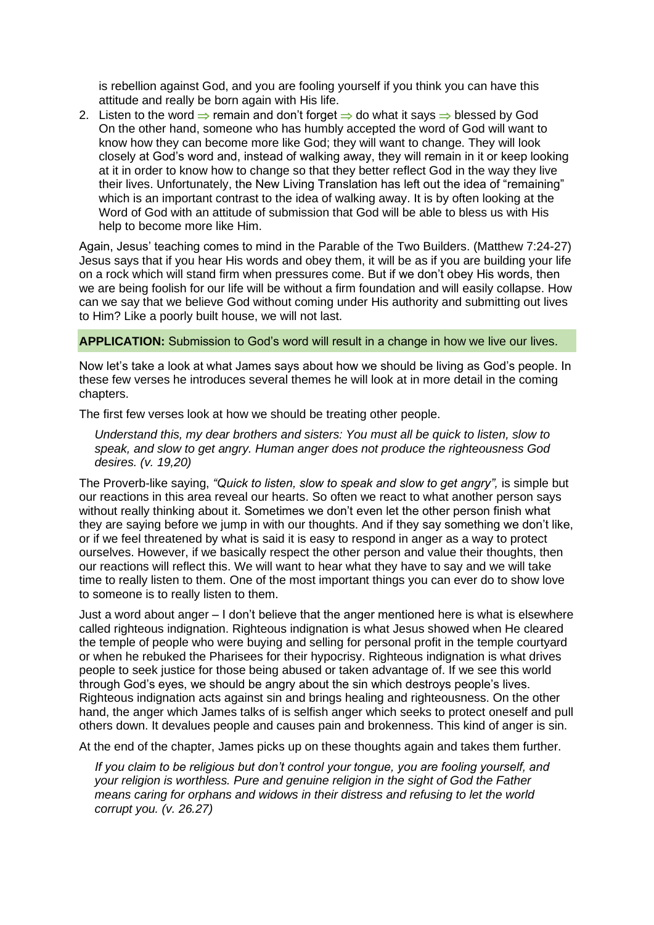is rebellion against God, and you are fooling yourself if you think you can have this attitude and really be born again with His life.

2. Listen to the word  $\Rightarrow$  remain and don't forget  $\Rightarrow$  do what it says  $\Rightarrow$  blessed by God On the other hand, someone who has humbly accepted the word of God will want to know how they can become more like God; they will want to change. They will look closely at God's word and, instead of walking away, they will remain in it or keep looking at it in order to know how to change so that they better reflect God in the way they live their lives. Unfortunately, the New Living Translation has left out the idea of "remaining" which is an important contrast to the idea of walking away. It is by often looking at the Word of God with an attitude of submission that God will be able to bless us with His help to become more like Him.

Again, Jesus' teaching comes to mind in the Parable of the Two Builders. (Matthew 7:24-27) Jesus says that if you hear His words and obey them, it will be as if you are building your life on a rock which will stand firm when pressures come. But if we don't obey His words, then we are being foolish for our life will be without a firm foundation and will easily collapse. How can we say that we believe God without coming under His authority and submitting out lives to Him? Like a poorly built house, we will not last.

## **APPLICATION:** Submission to God's word will result in a change in how we live our lives.

Now let's take a look at what James says about how we should be living as God's people. In these few verses he introduces several themes he will look at in more detail in the coming chapters.

The first few verses look at how we should be treating other people.

*Understand this, my dear brothers and sisters: You must all be quick to listen, slow to speak, and slow to get angry. Human anger does not produce the righteousness God desires. (v. 19,20)*

The Proverb-like saying, *"Quick to listen, slow to speak and slow to get angry",* is simple but our reactions in this area reveal our hearts. So often we react to what another person says without really thinking about it. Sometimes we don't even let the other person finish what they are saying before we jump in with our thoughts. And if they say something we don't like, or if we feel threatened by what is said it is easy to respond in anger as a way to protect ourselves. However, if we basically respect the other person and value their thoughts, then our reactions will reflect this. We will want to hear what they have to say and we will take time to really listen to them. One of the most important things you can ever do to show love to someone is to really listen to them.

Just a word about anger – I don't believe that the anger mentioned here is what is elsewhere called righteous indignation. Righteous indignation is what Jesus showed when He cleared the temple of people who were buying and selling for personal profit in the temple courtyard or when he rebuked the Pharisees for their hypocrisy. Righteous indignation is what drives people to seek justice for those being abused or taken advantage of. If we see this world through God's eyes, we should be angry about the sin which destroys people's lives. Righteous indignation acts against sin and brings healing and righteousness. On the other hand, the anger which James talks of is selfish anger which seeks to protect oneself and pull others down. It devalues people and causes pain and brokenness. This kind of anger is sin.

At the end of the chapter, James picks up on these thoughts again and takes them further.

*If you claim to be religious but don't control your tongue, you are fooling yourself, and your religion is worthless. Pure and genuine religion in the sight of God the Father means caring for orphans and widows in their distress and refusing to let the world corrupt you. (v. 26.27)*